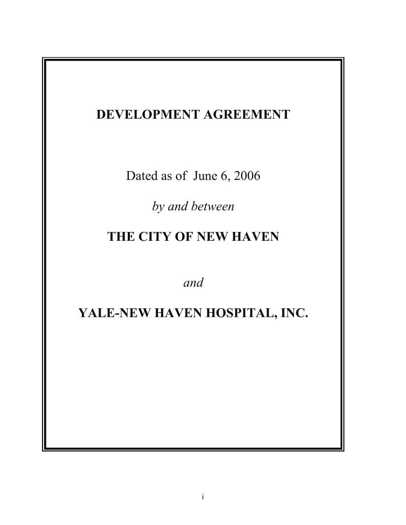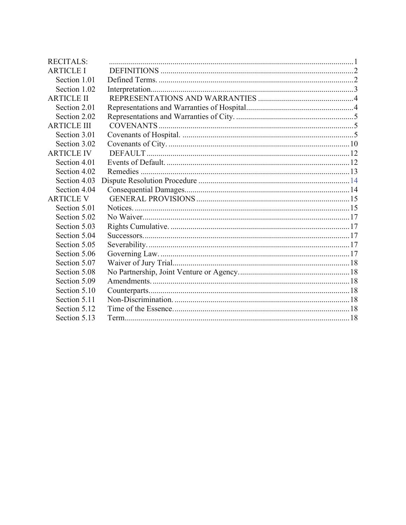| <b>RECITALS:</b>   |  |
|--------------------|--|
| <b>ARTICLE I</b>   |  |
| Section 1.01       |  |
| Section 1.02       |  |
| <b>ARTICLE II</b>  |  |
| Section 2.01       |  |
| Section 2.02       |  |
| <b>ARTICLE III</b> |  |
| Section 3.01       |  |
| Section 3.02       |  |
| <b>ARTICLE IV</b>  |  |
| Section 4.01       |  |
| Section 4.02       |  |
| Section 4.03       |  |
| Section 4.04       |  |
| <b>ARTICLE V</b>   |  |
| Section 5.01       |  |
| Section 5.02       |  |
| Section 5.03       |  |
| Section 5.04       |  |
| Section 5.05       |  |
| Section 5.06       |  |
| Section 5.07       |  |
| Section 5.08       |  |
| Section 5.09       |  |
| Section 5.10       |  |
| Section 5.11       |  |
| Section 5.12       |  |
| Section 5.13       |  |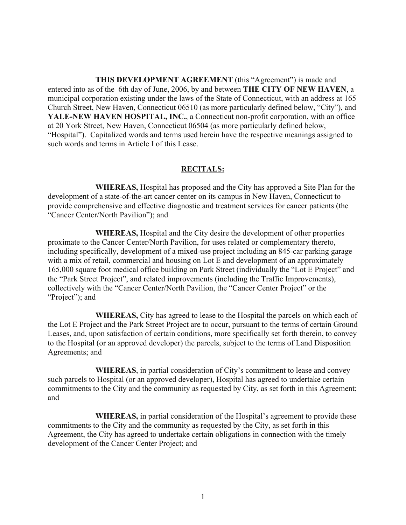**THIS DEVELOPMENT AGREEMENT** (this "Agreement") is made and entered into as of the 6th day of June, 2006, by and between **THE CITY OF NEW HAVEN**, a municipal corporation existing under the laws of the State of Connecticut, with an address at 165 Church Street, New Haven, Connecticut 06510 (as more particularly defined below, "City"), and **YALE-NEW HAVEN HOSPITAL, INC.**, a Connecticut non-profit corporation, with an office at 20 York Street, New Haven, Connecticut 06504 (as more particularly defined below, "Hospital"). Capitalized words and terms used herein have the respective meanings assigned to such words and terms in Article I of this Lease.

#### **RECITALS:**

**WHEREAS,** Hospital has proposed and the City has approved a Site Plan for the development of a state-of-the-art cancer center on its campus in New Haven, Connecticut to provide comprehensive and effective diagnostic and treatment services for cancer patients (the "Cancer Center/North Pavilion"); and

**WHEREAS,** Hospital and the City desire the development of other properties proximate to the Cancer Center/North Pavilion, for uses related or complementary thereto, including specifically, development of a mixed-use project including an 845-car parking garage with a mix of retail, commercial and housing on Lot E and development of an approximately 165,000 square foot medical office building on Park Street (individually the "Lot E Project" and the "Park Street Project", and related improvements (including the Traffic Improvements), collectively with the "Cancer Center/North Pavilion, the "Cancer Center Project" or the "Project"); and

**WHEREAS,** City has agreed to lease to the Hospital the parcels on which each of the Lot E Project and the Park Street Project are to occur, pursuant to the terms of certain Ground Leases, and, upon satisfaction of certain conditions, more specifically set forth therein, to convey to the Hospital (or an approved developer) the parcels, subject to the terms of Land Disposition Agreements; and

**WHEREAS**, in partial consideration of City's commitment to lease and convey such parcels to Hospital (or an approved developer), Hospital has agreed to undertake certain commitments to the City and the community as requested by City, as set forth in this Agreement; and

**WHEREAS,** in partial consideration of the Hospital's agreement to provide these commitments to the City and the community as requested by the City, as set forth in this Agreement, the City has agreed to undertake certain obligations in connection with the timely development of the Cancer Center Project; and

1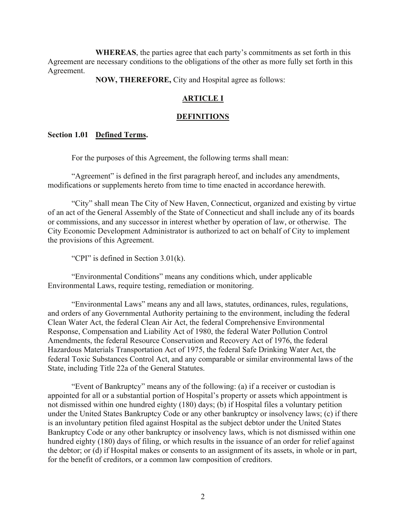**WHEREAS**, the parties agree that each party's commitments as set forth in this Agreement are necessary conditions to the obligations of the other as more fully set forth in this Agreement.

**NOW, THEREFORE,** City and Hospital agree as follows:

### **ARTICLE I**

#### **DEFINITIONS**

#### **Section 1.01 Defined Terms.**

For the purposes of this Agreement, the following terms shall mean:

"Agreement" is defined in the first paragraph hereof, and includes any amendments, modifications or supplements hereto from time to time enacted in accordance herewith.

 "City" shall mean The City of New Haven, Connecticut, organized and existing by virtue of an act of the General Assembly of the State of Connecticut and shall include any of its boards or commissions, and any successor in interest whether by operation of law, or otherwise. The City Economic Development Administrator is authorized to act on behalf of City to implement the provisions of this Agreement.

"CPI" is defined in Section 3.01(k).

 "Environmental Conditions" means any conditions which, under applicable Environmental Laws, require testing, remediation or monitoring.

"Environmental Laws" means any and all laws, statutes, ordinances, rules, regulations, and orders of any Governmental Authority pertaining to the environment, including the federal Clean Water Act, the federal Clean Air Act, the federal Comprehensive Environmental Response, Compensation and Liability Act of 1980, the federal Water Pollution Control Amendments, the federal Resource Conservation and Recovery Act of 1976, the federal Hazardous Materials Transportation Act of 1975, the federal Safe Drinking Water Act, the federal Toxic Substances Control Act, and any comparable or similar environmental laws of the State, including Title 22a of the General Statutes.

"Event of Bankruptcy" means any of the following: (a) if a receiver or custodian is appointed for all or a substantial portion of Hospital's property or assets which appointment is not dismissed within one hundred eighty (180) days; (b) if Hospital files a voluntary petition under the United States Bankruptcy Code or any other bankruptcy or insolvency laws; (c) if there is an involuntary petition filed against Hospital as the subject debtor under the United States Bankruptcy Code or any other bankruptcy or insolvency laws, which is not dismissed within one hundred eighty (180) days of filing, or which results in the issuance of an order for relief against the debtor; or (d) if Hospital makes or consents to an assignment of its assets, in whole or in part, for the benefit of creditors, or a common law composition of creditors.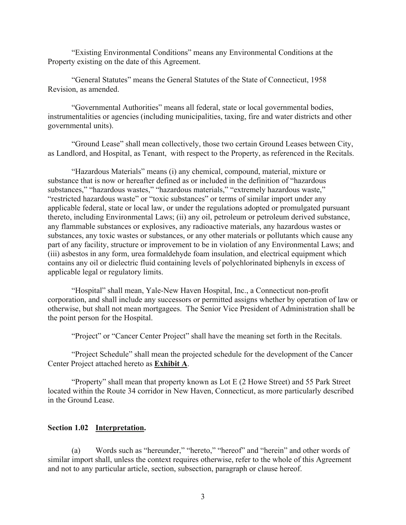"Existing Environmental Conditions" means any Environmental Conditions at the Property existing on the date of this Agreement.

"General Statutes" means the General Statutes of the State of Connecticut, 1958 Revision, as amended.

"Governmental Authorities" means all federal, state or local governmental bodies, instrumentalities or agencies (including municipalities, taxing, fire and water districts and other governmental units).

 "Ground Lease" shall mean collectively, those two certain Ground Leases between City, as Landlord, and Hospital, as Tenant, with respect to the Property, as referenced in the Recitals.

"Hazardous Materials" means (i) any chemical, compound, material, mixture or substance that is now or hereafter defined as or included in the definition of "hazardous substances," "hazardous wastes," "hazardous materials," "extremely hazardous waste," "restricted hazardous waste" or "toxic substances" or terms of similar import under any applicable federal, state or local law, or under the regulations adopted or promulgated pursuant thereto, including Environmental Laws; (ii) any oil, petroleum or petroleum derived substance, any flammable substances or explosives, any radioactive materials, any hazardous wastes or substances, any toxic wastes or substances, or any other materials or pollutants which cause any part of any facility, structure or improvement to be in violation of any Environmental Laws; and (iii) asbestos in any form, urea formaldehyde foam insulation, and electrical equipment which contains any oil or dielectric fluid containing levels of polychlorinated biphenyls in excess of applicable legal or regulatory limits.

 "Hospital" shall mean, Yale-New Haven Hospital, Inc., a Connecticut non-profit corporation, and shall include any successors or permitted assigns whether by operation of law or otherwise, but shall not mean mortgagees. The Senior Vice President of Administration shall be the point person for the Hospital.

"Project" or "Cancer Center Project" shall have the meaning set forth in the Recitals.

 "Project Schedule" shall mean the projected schedule for the development of the Cancer Center Project attached hereto as **Exhibit A**.

 "Property" shall mean that property known as Lot E (2 Howe Street) and 55 Park Street located within the Route 34 corridor in New Haven, Connecticut, as more particularly described in the Ground Lease.

### **Section 1.02 Interpretation.**

(a) Words such as "hereunder," "hereto," "hereof" and "herein" and other words of similar import shall, unless the context requires otherwise, refer to the whole of this Agreement and not to any particular article, section, subsection, paragraph or clause hereof.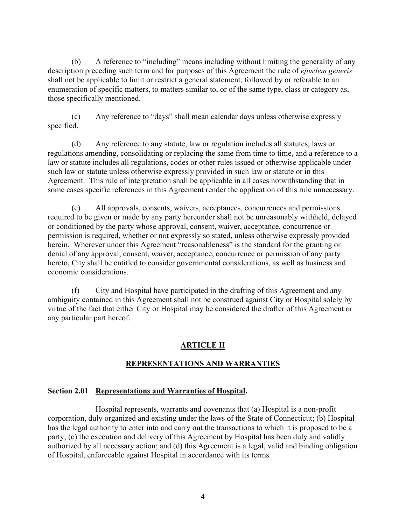(b) A reference to "including" means including without limiting the generality of any description preceding such term and for purposes of this Agreement the rule of *ejusdem generis* shall not be applicable to limit or restrict a general statement, followed by or referable to an enumeration of specific matters, to matters similar to, or of the same type, class or category as, those specifically mentioned.

(c) Any reference to "days" shall mean calendar days unless otherwise expressly specified.

(d) Any reference to any statute, law or regulation includes all statutes, laws or regulations amending, consolidating or replacing the same from time to time, and a reference to a law or statute includes all regulations, codes or other rules issued or otherwise applicable under such law or statute unless otherwise expressly provided in such law or statute or in this Agreement. This rule of interpretation shall be applicable in all cases notwithstanding that in some cases specific references in this Agreement render the application of this rule unnecessary.

(e) All approvals, consents, waivers, acceptances, concurrences and permissions required to be given or made by any party hereunder shall not be unreasonably withheld, delayed or conditioned by the party whose approval, consent, waiver, acceptance, concurrence or permission is required, whether or not expressly so stated, unless otherwise expressly provided herein. Wherever under this Agreement "reasonableness" is the standard for the granting or denial of any approval, consent, waiver, acceptance, concurrence or permission of any party hereto, City shall be entitled to consider governmental considerations, as well as business and economic considerations.

(f) City and Hospital have participated in the drafting of this Agreement and any ambiguity contained in this Agreement shall not be construed against City or Hospital solely by virtue of the fact that either City or Hospital may be considered the drafter of this Agreement or any particular part hereof.

### **ARTICLE II**

### **REPRESENTATIONS AND WARRANTIES**

#### **Section 2.01 Representations and Warranties of Hospital.**

Hospital represents, warrants and covenants that (a) Hospital is a non-profit corporation, duly organized and existing under the laws of the State of Connecticut; (b) Hospital has the legal authority to enter into and carry out the transactions to which it is proposed to be a party; (c) the execution and delivery of this Agreement by Hospital has been duly and validly authorized by all necessary action; and (d) this Agreement is a legal, valid and binding obligation of Hospital, enforceable against Hospital in accordance with its terms.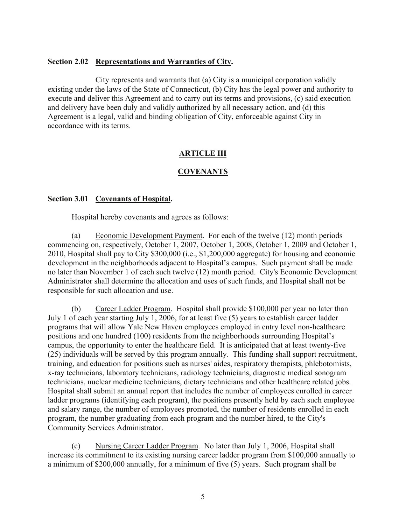### **Section 2.02 Representations and Warranties of City.**

City represents and warrants that (a) City is a municipal corporation validly existing under the laws of the State of Connecticut, (b) City has the legal power and authority to execute and deliver this Agreement and to carry out its terms and provisions, (c) said execution and delivery have been duly and validly authorized by all necessary action, and (d) this Agreement is a legal, valid and binding obligation of City, enforceable against City in accordance with its terms.

## **ARTICLE III**

## **COVENANTS**

### **Section 3.01 Covenants of Hospital.**

Hospital hereby covenants and agrees as follows:

 (a) Economic Development Payment. For each of the twelve (12) month periods commencing on, respectively, October 1, 2007, October 1, 2008, October 1, 2009 and October 1, 2010, Hospital shall pay to City \$300,000 (i.e., \$1,200,000 aggregate) for housing and economic development in the neighborhoods adjacent to Hospital's campus. Such payment shall be made no later than November 1 of each such twelve (12) month period. City's Economic Development Administrator shall determine the allocation and uses of such funds, and Hospital shall not be responsible for such allocation and use.

 (b) Career Ladder Program. Hospital shall provide \$100,000 per year no later than July 1 of each year starting July 1, 2006, for at least five (5) years to establish career ladder programs that will allow Yale New Haven employees employed in entry level non-healthcare positions and one hundred (100) residents from the neighborhoods surrounding Hospital's campus, the opportunity to enter the healthcare field. It is anticipated that at least twenty-five (25) individuals will be served by this program annually. This funding shall support recruitment, training, and education for positions such as nurses' aides, respiratory therapists, phlebotomists, x-ray technicians, laboratory technicians, radiology technicians, diagnostic medical sonogram technicians, nuclear medicine technicians, dietary technicians and other healthcare related jobs. Hospital shall submit an annual report that includes the number of employees enrolled in career ladder programs (identifying each program), the positions presently held by each such employee and salary range, the number of employees promoted, the number of residents enrolled in each program, the number graduating from each program and the number hired, to the City's Community Services Administrator.

 (c) Nursing Career Ladder Program. No later than July 1, 2006, Hospital shall increase its commitment to its existing nursing career ladder program from \$100,000 annually to a minimum of \$200,000 annually, for a minimum of five (5) years. Such program shall be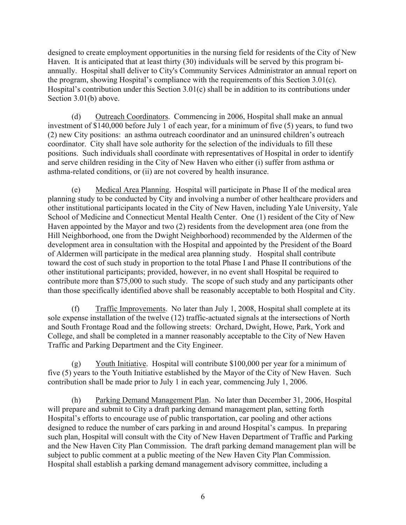designed to create employment opportunities in the nursing field for residents of the City of New Haven. It is anticipated that at least thirty (30) individuals will be served by this program biannually. Hospital shall deliver to City's Community Services Administrator an annual report on the program, showing Hospital's compliance with the requirements of this Section 3.01(c). Hospital's contribution under this Section 3.01(c) shall be in addition to its contributions under Section 3.01(b) above.

 (d) Outreach Coordinators. Commencing in 2006, Hospital shall make an annual investment of \$140,000 before July 1 of each year, for a minimum of five (5) years, to fund two (2) new City positions: an asthma outreach coordinator and an uninsured children's outreach coordinator. City shall have sole authority for the selection of the individuals to fill these positions. Such individuals shall coordinate with representatives of Hospital in order to identify and serve children residing in the City of New Haven who either (i) suffer from asthma or asthma-related conditions, or (ii) are not covered by health insurance.

 (e) Medical Area Planning. Hospital will participate in Phase II of the medical area planning study to be conducted by City and involving a number of other healthcare providers and other institutional participants located in the City of New Haven, including Yale University, Yale School of Medicine and Connecticut Mental Health Center. One (1) resident of the City of New Haven appointed by the Mayor and two (2) residents from the development area (one from the Hill Neighborhood, one from the Dwight Neighborhood) recommended by the Aldermen of the development area in consultation with the Hospital and appointed by the President of the Board of Aldermen will participate in the medical area planning study. Hospital shall contribute toward the cost of such study in proportion to the total Phase I and Phase II contributions of the other institutional participants; provided, however, in no event shall Hospital be required to contribute more than \$75,000 to such study. The scope of such study and any participants other than those specifically identified above shall be reasonably acceptable to both Hospital and City.

 (f) Traffic Improvements. No later than July 1, 2008, Hospital shall complete at its sole expense installation of the twelve (12) traffic-actuated signals at the intersections of North and South Frontage Road and the following streets: Orchard, Dwight, Howe, Park, York and College, and shall be completed in a manner reasonably acceptable to the City of New Haven Traffic and Parking Department and the City Engineer.

 (g) Youth Initiative. Hospital will contribute \$100,000 per year for a minimum of five (5) years to the Youth Initiative established by the Mayor of the City of New Haven. Such contribution shall be made prior to July 1 in each year, commencing July 1, 2006.

 (h) Parking Demand Management Plan. No later than December 31, 2006, Hospital will prepare and submit to City a draft parking demand management plan, setting forth Hospital's efforts to encourage use of public transportation, car pooling and other actions designed to reduce the number of cars parking in and around Hospital's campus. In preparing such plan, Hospital will consult with the City of New Haven Department of Traffic and Parking and the New Haven City Plan Commission. The draft parking demand management plan will be subject to public comment at a public meeting of the New Haven City Plan Commission. Hospital shall establish a parking demand management advisory committee, including a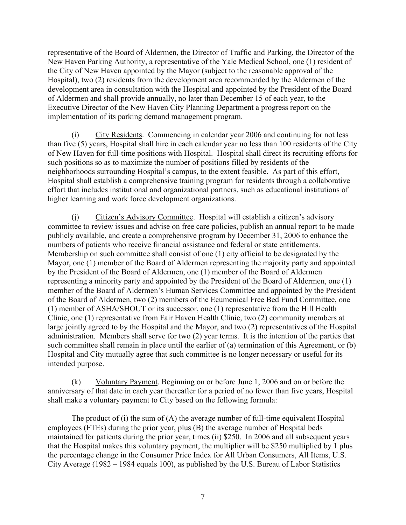representative of the Board of Aldermen, the Director of Traffic and Parking, the Director of the New Haven Parking Authority, a representative of the Yale Medical School, one (1) resident of the City of New Haven appointed by the Mayor (subject to the reasonable approval of the Hospital), two (2) residents from the development area recommended by the Aldermen of the development area in consultation with the Hospital and appointed by the President of the Board of Aldermen and shall provide annually, no later than December 15 of each year, to the Executive Director of the New Haven City Planning Department a progress report on the implementation of its parking demand management program.

 (i) City Residents. Commencing in calendar year 2006 and continuing for not less than five (5) years, Hospital shall hire in each calendar year no less than 100 residents of the City of New Haven for full-time positions with Hospital. Hospital shall direct its recruiting efforts for such positions so as to maximize the number of positions filled by residents of the neighborhoods surrounding Hospital's campus, to the extent feasible. As part of this effort, Hospital shall establish a comprehensive training program for residents through a collaborative effort that includes institutional and organizational partners, such as educational institutions of higher learning and work force development organizations.

 (j) Citizen's Advisory Committee. Hospital will establish a citizen's advisory committee to review issues and advise on free care policies, publish an annual report to be made publicly available, and create a comprehensive program by December 31, 2006 to enhance the numbers of patients who receive financial assistance and federal or state entitlements. Membership on such committee shall consist of one (1) city official to be designated by the Mayor, one (1) member of the Board of Aldermen representing the majority party and appointed by the President of the Board of Aldermen, one (1) member of the Board of Aldermen representing a minority party and appointed by the President of the Board of Aldermen, one (1) member of the Board of Aldermen's Human Services Committee and appointed by the President of the Board of Aldermen, two (2) members of the Ecumenical Free Bed Fund Committee, one (1) member of ASHA/SHOUT or its successor, one (1) representative from the Hill Health Clinic, one (1) representative from Fair Haven Health Clinic, two (2) community members at large jointly agreed to by the Hospital and the Mayor, and two (2) representatives of the Hospital administration. Members shall serve for two (2) year terms. It is the intention of the parties that such committee shall remain in place until the earlier of (a) termination of this Agreement, or (b) Hospital and City mutually agree that such committee is no longer necessary or useful for its intended purpose.

 (k) Voluntary Payment. Beginning on or before June 1, 2006 and on or before the anniversary of that date in each year thereafter for a period of no fewer than five years, Hospital shall make a voluntary payment to City based on the following formula:

 The product of (i) the sum of (A) the average number of full-time equivalent Hospital employees (FTEs) during the prior year, plus (B) the average number of Hospital beds maintained for patients during the prior year, times (ii) \$250. In 2006 and all subsequent years that the Hospital makes this voluntary payment, the multiplier will be \$250 multiplied by 1 plus the percentage change in the Consumer Price Index for All Urban Consumers, All Items, U.S. City Average (1982 – 1984 equals 100), as published by the U.S. Bureau of Labor Statistics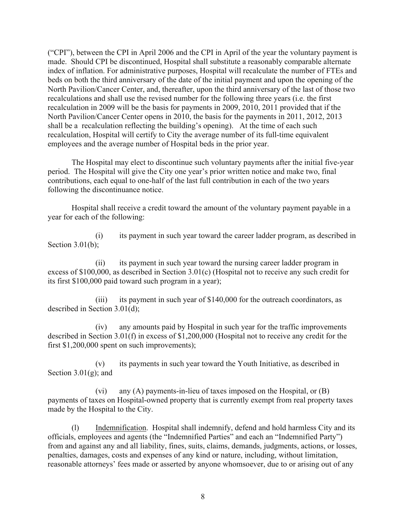("CPI"), between the CPI in April 2006 and the CPI in April of the year the voluntary payment is made. Should CPI be discontinued, Hospital shall substitute a reasonably comparable alternate index of inflation. For administrative purposes, Hospital will recalculate the number of FTEs and beds on both the third anniversary of the date of the initial payment and upon the opening of the North Pavilion/Cancer Center, and, thereafter, upon the third anniversary of the last of those two recalculations and shall use the revised number for the following three years (i.e. the first recalculation in 2009 will be the basis for payments in 2009, 2010, 2011 provided that if the North Pavilion/Cancer Center opens in 2010, the basis for the payments in 2011, 2012, 2013 shall be a recalculation reflecting the building's opening). At the time of each such recalculation, Hospital will certify to City the average number of its full-time equivalent employees and the average number of Hospital beds in the prior year.

 The Hospital may elect to discontinue such voluntary payments after the initial five-year period. The Hospital will give the City one year's prior written notice and make two, final contributions, each equal to one-half of the last full contribution in each of the two years following the discontinuance notice.

 Hospital shall receive a credit toward the amount of the voluntary payment payable in a year for each of the following:

 (i) its payment in such year toward the career ladder program, as described in Section  $3.01(b)$ ;

 (ii) its payment in such year toward the nursing career ladder program in excess of \$100,000, as described in Section 3.01(c) (Hospital not to receive any such credit for its first \$100,000 paid toward such program in a year);

 (iii) its payment in such year of \$140,000 for the outreach coordinators, as described in Section 3.01(d);

 (iv) any amounts paid by Hospital in such year for the traffic improvements described in Section 3.01(f) in excess of \$1,200,000 (Hospital not to receive any credit for the first \$1,200,000 spent on such improvements);

 (v) its payments in such year toward the Youth Initiative, as described in Section  $3.01(g)$ ; and

 (vi) any (A) payments-in-lieu of taxes imposed on the Hospital, or (B) payments of taxes on Hospital-owned property that is currently exempt from real property taxes made by the Hospital to the City.

(l) Indemnification. Hospital shall indemnify, defend and hold harmless City and its officials, employees and agents (the "Indemnified Parties" and each an "Indemnified Party") from and against any and all liability, fines, suits, claims, demands, judgments, actions, or losses, penalties, damages, costs and expenses of any kind or nature, including, without limitation, reasonable attorneys' fees made or asserted by anyone whomsoever, due to or arising out of any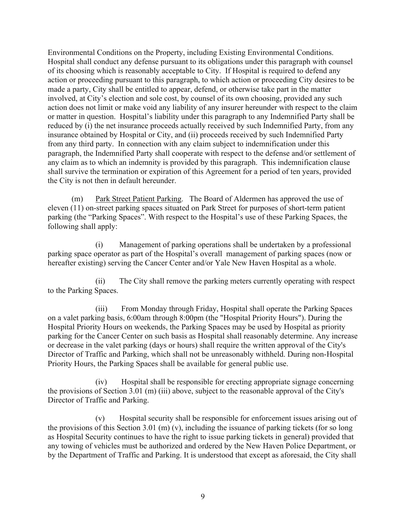Environmental Conditions on the Property, including Existing Environmental Conditions. Hospital shall conduct any defense pursuant to its obligations under this paragraph with counsel of its choosing which is reasonably acceptable to City. If Hospital is required to defend any action or proceeding pursuant to this paragraph, to which action or proceeding City desires to be made a party, City shall be entitled to appear, defend, or otherwise take part in the matter involved, at City's election and sole cost, by counsel of its own choosing, provided any such action does not limit or make void any liability of any insurer hereunder with respect to the claim or matter in question. Hospital's liability under this paragraph to any Indemnified Party shall be reduced by (i) the net insurance proceeds actually received by such Indemnified Party, from any insurance obtained by Hospital or City, and (ii) proceeds received by such Indemnified Party from any third party. In connection with any claim subject to indemnification under this paragraph, the Indemnified Party shall cooperate with respect to the defense and/or settlement of any claim as to which an indemnity is provided by this paragraph. This indemnification clause shall survive the termination or expiration of this Agreement for a period of ten years, provided the City is not then in default hereunder.

(m) Park Street Patient Parking. The Board of Aldermen has approved the use of eleven (11) on-street parking spaces situated on Park Street for purposes of short-term patient parking (the "Parking Spaces". With respect to the Hospital's use of these Parking Spaces, the following shall apply:

 (i) Management of parking operations shall be undertaken by a professional parking space operator as part of the Hospital's overall management of parking spaces (now or hereafter existing) serving the Cancer Center and/or Yale New Haven Hospital as a whole.

 (ii) The City shall remove the parking meters currently operating with respect to the Parking Spaces.

 (iii) From Monday through Friday, Hospital shall operate the Parking Spaces on a valet parking basis, 6:00am through 8:00pm (the "Hospital Priority Hours"). During the Hospital Priority Hours on weekends, the Parking Spaces may be used by Hospital as priority parking for the Cancer Center on such basis as Hospital shall reasonably determine. Any increase or decrease in the valet parking (days or hours) shall require the written approval of the City's Director of Traffic and Parking, which shall not be unreasonably withheld. During non-Hospital Priority Hours, the Parking Spaces shall be available for general public use.

 (iv) Hospital shall be responsible for erecting appropriate signage concerning the provisions of Section 3.01 (m) (iii) above, subject to the reasonable approval of the City's Director of Traffic and Parking.

 (v) Hospital security shall be responsible for enforcement issues arising out of the provisions of this Section 3.01 (m) (v), including the issuance of parking tickets (for so long as Hospital Security continues to have the right to issue parking tickets in general) provided that any towing of vehicles must be authorized and ordered by the New Haven Police Department, or by the Department of Traffic and Parking. It is understood that except as aforesaid, the City shall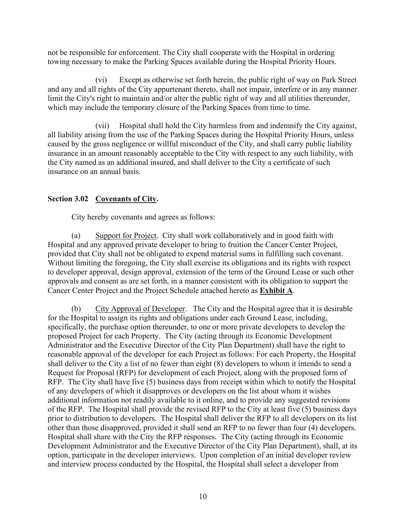not be responsible for enforcement. The City shall cooperate with the Hospital in ordering towing necessary to make the Parking Spaces available during the Hospital Priority Hours.

 (vi) Except as otherwise set forth herein, the public right of way on Park Street and any and all rights of the City appurtenant thereto, shall not impair, interfere or in any manner limit the City's right to maintain and/or alter the public right of way and all utilities thereunder, which may include the temporary closure of the Parking Spaces from time to time.

 (vii) Hospital shall hold the City harmless from and indemnify the City against, all liability arising from the use of the Parking Spaces during the Hospital Priority Hours, unless caused by the gross negligence or willful misconduct of the City, and shall carry public liability insurance in an amount reasonably acceptable to the City with respect to any such liability, with the City named as an additional insured, and shall deliver to the City a certificate of such insurance on an annual basis.

## **Section 3.02 Covenants of City.**

City hereby covenants and agrees as follows:

 (a) Support for Project. City shall work collaboratively and in good faith with Hospital and any approved private developer to bring to fruition the Cancer Center Project, provided that City shall not be obligated to expend material sums in fulfilling such covenant. Without limiting the foregoing, the City shall exercise its obligations and its rights with respect to developer approval, design approval, extension of the term of the Ground Lease or such other approvals and consent as are set forth, in a manner consistent with its obligation to support the Cancer Center Project and the Project Schedule attached hereto as **Exhibit A**.

 (b) City Approval of Developer. The City and the Hospital agree that it is desirable for the Hospital to assign its rights and obligations under each Ground Lease, including, specifically, the purchase option thereunder, to one or more private developers to develop the proposed Project for each Property. The City (acting through its Economic Development Administrator and the Executive Director of the City Plan Department) shall have the right to reasonable approval of the developer for each Project as follows: For each Property, the Hospital shall deliver to the City a list of no fewer than eight (8) developers to whom it intends to send a Request for Proposal (RFP) for development of each Project, along with the proposed form of RFP. The City shall have five (5) business days from receipt within which to notify the Hospital of any developers of which it disapproves or developers on the list about whom it wishes additional information not readily available to it online, and to provide any suggested revisions of the RFP. The Hospital shall provide the revised RFP to the City at least five (5) business days prior to distribution to developers. The Hospital shall deliver the RFP to all developers on its list other than those disapproved, provided it shall send an RFP to no fewer than four (4) developers. Hospital shall share with the City the RFP responses. The City (acting through its Economic Development Administrator and the Executive Director of the City Plan Department), shall, at its option, participate in the developer interviews. Upon completion of an initial developer review and interview process conducted by the Hospital, the Hospital shall select a developer from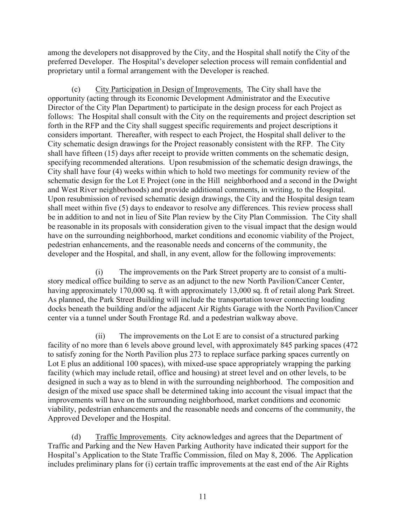among the developers not disapproved by the City, and the Hospital shall notify the City of the preferred Developer. The Hospital's developer selection process will remain confidential and proprietary until a formal arrangement with the Developer is reached.

 (c) City Participation in Design of Improvements. The City shall have the opportunity (acting through its Economic Development Administrator and the Executive Director of the City Plan Department) to participate in the design process for each Project as follows: The Hospital shall consult with the City on the requirements and project description set forth in the RFP and the City shall suggest specific requirements and project descriptions it considers important. Thereafter, with respect to each Project, the Hospital shall deliver to the City schematic design drawings for the Project reasonably consistent with the RFP. The City shall have fifteen (15) days after receipt to provide written comments on the schematic design, specifying recommended alterations. Upon resubmission of the schematic design drawings, the City shall have four (4) weeks within which to hold two meetings for community review of the schematic design for the Lot E Project (one in the Hill neighborhood and a second in the Dwight and West River neighborhoods) and provide additional comments, in writing, to the Hospital. Upon resubmission of revised schematic design drawings, the City and the Hospital design team shall meet within five (5) days to endeavor to resolve any differences. This review process shall be in addition to and not in lieu of Site Plan review by the City Plan Commission. The City shall be reasonable in its proposals with consideration given to the visual impact that the design would have on the surrounding neighborhood, market conditions and economic viability of the Project, pedestrian enhancements, and the reasonable needs and concerns of the community, the developer and the Hospital, and shall, in any event, allow for the following improvements:

 (i) The improvements on the Park Street property are to consist of a multistory medical office building to serve as an adjunct to the new North Pavilion/Cancer Center, having approximately 170,000 sq. ft with approximately 13,000 sq. ft of retail along Park Street. As planned, the Park Street Building will include the transportation tower connecting loading docks beneath the building and/or the adjacent Air Rights Garage with the North Pavilion/Cancer center via a tunnel under South Frontage Rd. and a pedestrian walkway above.

 (ii) The improvements on the Lot E are to consist of a structured parking facility of no more than 6 levels above ground level, with approximately 845 parking spaces (472 to satisfy zoning for the North Pavilion plus 273 to replace surface parking spaces currently on Lot E plus an additional 100 spaces), with mixed-use space appropriately wrapping the parking facility (which may include retail, office and housing) at street level and on other levels, to be designed in such a way as to blend in with the surrounding neighborhood. The composition and design of the mixed use space shall be determined taking into account the visual impact that the improvements will have on the surrounding neighborhood, market conditions and economic viability, pedestrian enhancements and the reasonable needs and concerns of the community, the Approved Developer and the Hospital.

 (d) Traffic Improvements. City acknowledges and agrees that the Department of Traffic and Parking and the New Haven Parking Authority have indicated their support for the Hospital's Application to the State Traffic Commission, filed on May 8, 2006. The Application includes preliminary plans for (i) certain traffic improvements at the east end of the Air Rights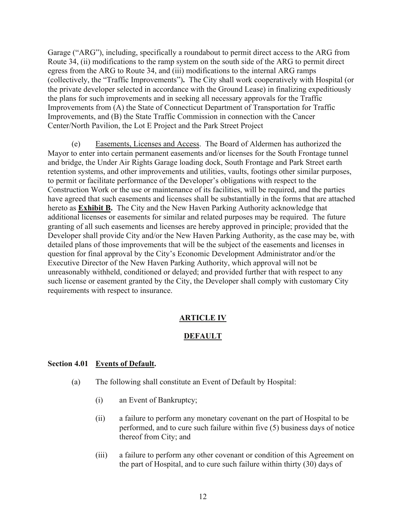Garage ("ARG"), including, specifically a roundabout to permit direct access to the ARG from Route 34, (ii) modifications to the ramp system on the south side of the ARG to permit direct egress from the ARG to Route 34, and (iii) modifications to the internal ARG ramps (collectively, the "Traffic Improvements")**.** The City shall work cooperatively with Hospital (or the private developer selected in accordance with the Ground Lease) in finalizing expeditiously the plans for such improvements and in seeking all necessary approvals for the Traffic Improvements from (A) the State of Connecticut Department of Transportation for Traffic Improvements, and (B) the State Traffic Commission in connection with the Cancer Center/North Pavilion, the Lot E Project and the Park Street Project

 (e) Easements, Licenses and Access. The Board of Aldermen has authorized the Mayor to enter into certain permanent easements and/or licenses for the South Frontage tunnel and bridge, the Under Air Rights Garage loading dock, South Frontage and Park Street earth retention systems, and other improvements and utilities, vaults, footings other similar purposes, to permit or facilitate performance of the Developer's obligations with respect to the Construction Work or the use or maintenance of its facilities, will be required, and the parties have agreed that such easements and licenses shall be substantially in the forms that are attached hereto as **Exhibit B.** The City and the New Haven Parking Authority acknowledge that additional licenses or easements for similar and related purposes may be required. The future granting of all such easements and licenses are hereby approved in principle; provided that the Developer shall provide City and/or the New Haven Parking Authority, as the case may be, with detailed plans of those improvements that will be the subject of the easements and licenses in question for final approval by the City's Economic Development Administrator and/or the Executive Director of the New Haven Parking Authority, which approval will not be unreasonably withheld, conditioned or delayed; and provided further that with respect to any such license or easement granted by the City, the Developer shall comply with customary City requirements with respect to insurance.

### **ARTICLE IV**

### **DEFAULT**

#### **Section 4.01 Events of Default.**

- (a) The following shall constitute an Event of Default by Hospital:
	- (i) an Event of Bankruptcy;
	- (ii) a failure to perform any monetary covenant on the part of Hospital to be performed, and to cure such failure within five (5) business days of notice thereof from City; and
	- (iii) a failure to perform any other covenant or condition of this Agreement on the part of Hospital, and to cure such failure within thirty (30) days of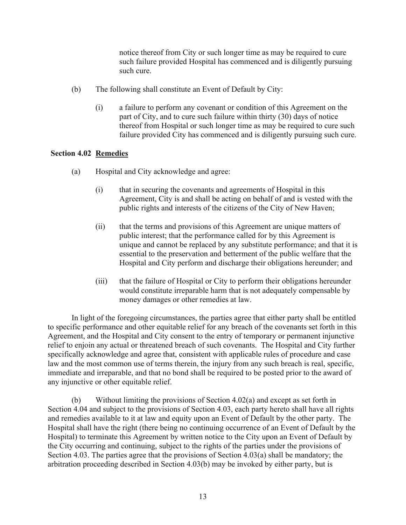notice thereof from City or such longer time as may be required to cure such failure provided Hospital has commenced and is diligently pursuing such cure.

- (b) The following shall constitute an Event of Default by City:
	- (i) a failure to perform any covenant or condition of this Agreement on the part of City, and to cure such failure within thirty (30) days of notice thereof from Hospital or such longer time as may be required to cure such failure provided City has commenced and is diligently pursuing such cure.

### **Section 4.02 Remedies**

- (a) Hospital and City acknowledge and agree:
	- (i) that in securing the covenants and agreements of Hospital in this Agreement, City is and shall be acting on behalf of and is vested with the public rights and interests of the citizens of the City of New Haven;
	- (ii) that the terms and provisions of this Agreement are unique matters of public interest; that the performance called for by this Agreement is unique and cannot be replaced by any substitute performance; and that it is essential to the preservation and betterment of the public welfare that the Hospital and City perform and discharge their obligations hereunder; and
	- (iii) that the failure of Hospital or City to perform their obligations hereunder would constitute irreparable harm that is not adequately compensable by money damages or other remedies at law.

 In light of the foregoing circumstances, the parties agree that either party shall be entitled to specific performance and other equitable relief for any breach of the covenants set forth in this Agreement, and the Hospital and City consent to the entry of temporary or permanent injunctive relief to enjoin any actual or threatened breach of such covenants. The Hospital and City further specifically acknowledge and agree that, consistent with applicable rules of procedure and case law and the most common use of terms therein, the injury from any such breach is real, specific, immediate and irreparable, and that no bond shall be required to be posted prior to the award of any injunctive or other equitable relief.

 (b) Without limiting the provisions of Section 4.02(a) and except as set forth in Section 4.04 and subject to the provisions of Section 4.03, each party hereto shall have all rights and remedies available to it at law and equity upon an Event of Default by the other party. The Hospital shall have the right (there being no continuing occurrence of an Event of Default by the Hospital) to terminate this Agreement by written notice to the City upon an Event of Default by the City occurring and continuing, subject to the rights of the parties under the provisions of Section 4.03. The parties agree that the provisions of Section 4.03(a) shall be mandatory; the arbitration proceeding described in Section 4.03(b) may be invoked by either party, but is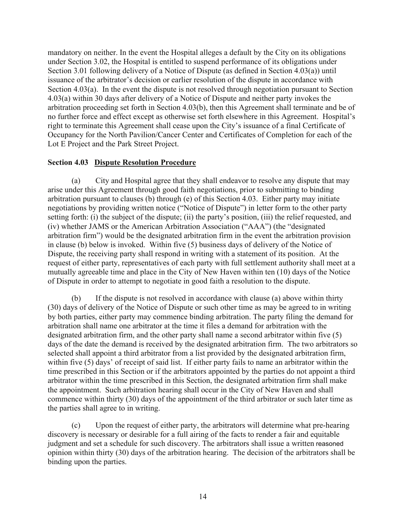mandatory on neither. In the event the Hospital alleges a default by the City on its obligations under Section 3.02, the Hospital is entitled to suspend performance of its obligations under Section 3.01 following delivery of a Notice of Dispute (as defined in Section 4.03(a)) until issuance of the arbitrator's decision or earlier resolution of the dispute in accordance with Section 4.03(a). In the event the dispute is not resolved through negotiation pursuant to Section 4.03(a) within 30 days after delivery of a Notice of Dispute and neither party invokes the arbitration proceeding set forth in Section 4.03(b), then this Agreement shall terminate and be of no further force and effect except as otherwise set forth elsewhere in this Agreement. Hospital's right to terminate this Agreement shall cease upon the City's issuance of a final Certificate of Occupancy for the North Pavilion/Cancer Center and Certificates of Completion for each of the Lot E Project and the Park Street Project.

#### **Section 4.03 Dispute Resolution Procedure**

(a) City and Hospital agree that they shall endeavor to resolve any dispute that may arise under this Agreement through good faith negotiations, prior to submitting to binding arbitration pursuant to clauses (b) through (e) of this Section 4.03. Either party may initiate negotiations by providing written notice ("Notice of Dispute") in letter form to the other party setting forth: (i) the subject of the dispute; (ii) the party's position, (iii) the relief requested, and (iv) whether JAMS or the American Arbitration Association ("AAA") (the "designated arbitration firm") would be the designated arbitration firm in the event the arbitration provision in clause (b) below is invoked. Within five (5) business days of delivery of the Notice of Dispute, the receiving party shall respond in writing with a statement of its position. At the request of either party, representatives of each party with full settlement authority shall meet at a mutually agreeable time and place in the City of New Haven within ten (10) days of the Notice of Dispute in order to attempt to negotiate in good faith a resolution to the dispute.

(b) If the dispute is not resolved in accordance with clause (a) above within thirty (30) days of delivery of the Notice of Dispute or such other time as may be agreed to in writing by both parties, either party may commence binding arbitration. The party filing the demand for arbitration shall name one arbitrator at the time it files a demand for arbitration with the designated arbitration firm, and the other party shall name a second arbitrator within five (5) days of the date the demand is received by the designated arbitration firm. The two arbitrators so selected shall appoint a third arbitrator from a list provided by the designated arbitration firm, within five (5) days' of receipt of said list. If either party fails to name an arbitrator within the time prescribed in this Section or if the arbitrators appointed by the parties do not appoint a third arbitrator within the time prescribed in this Section, the designated arbitration firm shall make the appointment. Such arbitration hearing shall occur in the City of New Haven and shall commence within thirty (30) days of the appointment of the third arbitrator or such later time as the parties shall agree to in writing.

(c) Upon the request of either party, the arbitrators will determine what pre-hearing discovery is necessary or desirable for a full airing of the facts to render a fair and equitable judgment and set a schedule for such discovery. The arbitrators shall issue a written reasoned opinion within thirty (30) days of the arbitration hearing. The decision of the arbitrators shall be binding upon the parties.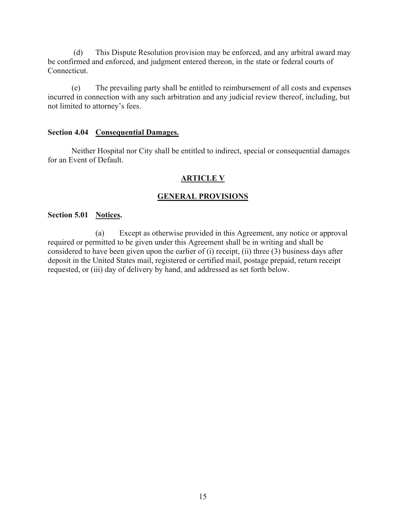(d) This Dispute Resolution provision may be enforced, and any arbitral award may be confirmed and enforced, and judgment entered thereon, in the state or federal courts of Connecticut.

(e) The prevailing party shall be entitled to reimbursement of all costs and expenses incurred in connection with any such arbitration and any judicial review thereof, including, but not limited to attorney's fees.

#### **Section 4.04 Consequential Damages.**

Neither Hospital nor City shall be entitled to indirect, special or consequential damages for an Event of Default.

### **ARTICLE V**

### **GENERAL PROVISIONS**

#### **Section 5.01 Notices.**

(a) Except as otherwise provided in this Agreement, any notice or approval required or permitted to be given under this Agreement shall be in writing and shall be considered to have been given upon the earlier of (i) receipt, (ii) three (3) business days after deposit in the United States mail, registered or certified mail, postage prepaid, return receipt requested, or (iii) day of delivery by hand, and addressed as set forth below.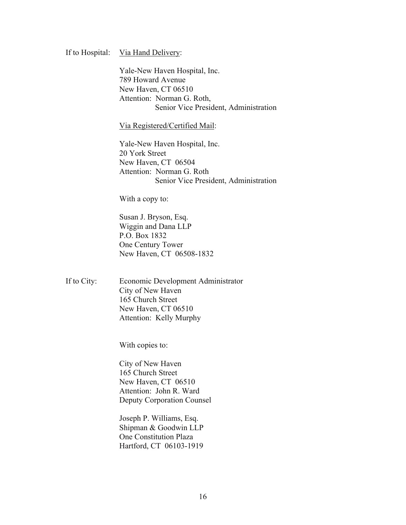#### If to Hospital: Via Hand Delivery:

 Yale-New Haven Hospital, Inc. 789 Howard Avenue New Haven, CT 06510 Attention: Norman G. Roth, Senior Vice President, Administration

Via Registered/Certified Mail:

 Yale-New Haven Hospital, Inc. 20 York Street New Haven, CT 06504 Attention: Norman G. Roth Senior Vice President, Administration

With a copy to:

Susan J. Bryson, Esq. Wiggin and Dana LLP P.O. Box 1832 One Century Tower New Haven, CT 06508-1832

If to City: Economic Development Administrator City of New Haven 165 Church Street New Haven, CT 06510 Attention: Kelly Murphy

With copies to:

City of New Haven 165 Church Street New Haven, CT 06510 Attention: John R. Ward Deputy Corporation Counsel

Joseph P. Williams, Esq. Shipman & Goodwin LLP One Constitution Plaza Hartford, CT 06103-1919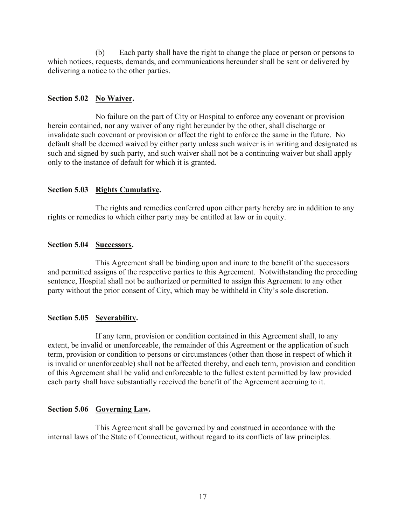(b) Each party shall have the right to change the place or person or persons to which notices, requests, demands, and communications hereunder shall be sent or delivered by delivering a notice to the other parties.

### Section 5.02 No Waiver.

No failure on the part of City or Hospital to enforce any covenant or provision herein contained, nor any waiver of any right hereunder by the other, shall discharge or invalidate such covenant or provision or affect the right to enforce the same in the future. No default shall be deemed waived by either party unless such waiver is in writing and designated as such and signed by such party, and such waiver shall not be a continuing waiver but shall apply only to the instance of default for which it is granted.

### **Section 5.03 Rights Cumulative.**

The rights and remedies conferred upon either party hereby are in addition to any rights or remedies to which either party may be entitled at law or in equity.

## **Section 5.04 Successors.**

This Agreement shall be binding upon and inure to the benefit of the successors and permitted assigns of the respective parties to this Agreement. Notwithstanding the preceding sentence, Hospital shall not be authorized or permitted to assign this Agreement to any other party without the prior consent of City, which may be withheld in City's sole discretion.

## **Section 5.05 Severability.**

If any term, provision or condition contained in this Agreement shall, to any extent, be invalid or unenforceable, the remainder of this Agreement or the application of such term, provision or condition to persons or circumstances (other than those in respect of which it is invalid or unenforceable) shall not be affected thereby, and each term, provision and condition of this Agreement shall be valid and enforceable to the fullest extent permitted by law provided each party shall have substantially received the benefit of the Agreement accruing to it.

### **Section 5.06 Governing Law.**

This Agreement shall be governed by and construed in accordance with the internal laws of the State of Connecticut, without regard to its conflicts of law principles.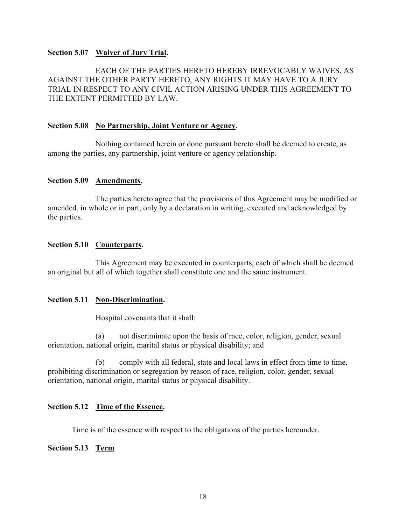#### **Section 5.07 Waiver of Jury Trial.**

EACH OF THE PARTIES HERETO HEREBY IRREVOCABLY WAIVES, AS AGAINST THE OTHER PARTY HERETO, ANY RIGHTS IT MAY HAVE TO A JURY TRIAL IN RESPECT TO ANY CIVIL ACTION ARISING UNDER THIS AGREEMENT TO THE EXTENT PERMITTED BY LAW.

#### **Section 5.08 No Partnership, Joint Venture or Agency.**

Nothing contained herein or done pursuant hereto shall be deemed to create, as among the parties, any partnership, joint venture or agency relationship.

### **Section 5.09 Amendments.**

The parties hereto agree that the provisions of this Agreement may be modified or amended, in whole or in part, only by a declaration in writing, executed and acknowledged by the parties.

### **Section 5.10 Counterparts.**

This Agreement may be executed in counterparts, each of which shall be deemed an original but all of which together shall constitute one and the same instrument.

#### **Section 5.11 Non-Discrimination.**

Hospital covenants that it shall:

 (a) not discriminate upon the basis of race, color, religion, gender, sexual orientation, national origin, marital status or physical disability; and

 (b) comply with all federal, state and local laws in effect from time to time, prohibiting discrimination or segregation by reason of race, religion, color, gender, sexual orientation, national origin, marital status or physical disability.

#### **Section 5.12 Time of the Essence.**

Time is of the essence with respect to the obligations of the parties hereunder.

#### **Section 5.13 Term**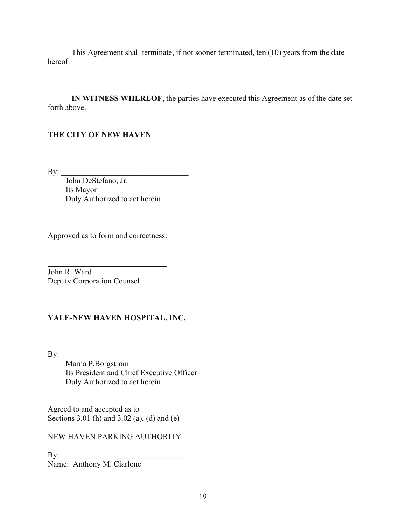This Agreement shall terminate, if not sooner terminated, ten (10) years from the date hereof.

**IN WITNESS WHEREOF**, the parties have executed this Agreement as of the date set forth above.

### **THE CITY OF NEW HAVEN**

 $\mathbf{By:}$ 

 John DeStefano, Jr. Its Mayor Duly Authorized to act herein

Approved as to form and correctness:

 $\overline{a}$ John R. Ward Deputy Corporation Counsel

## **YALE-NEW HAVEN HOSPITAL, INC.**

By: \_\_\_\_\_\_\_\_\_\_\_\_\_\_\_\_\_\_\_\_\_\_\_\_\_\_\_\_\_\_\_\_ Marna P.Borgstrom Its President and Chief Executive Officer Duly Authorized to act herein

Agreed to and accepted as to Sections 3.01 (h) and 3.02 (a), (d) and (e)

NEW HAVEN PARKING AUTHORITY

 $\mathbf{By:}$ Name: Anthony M. Ciarlone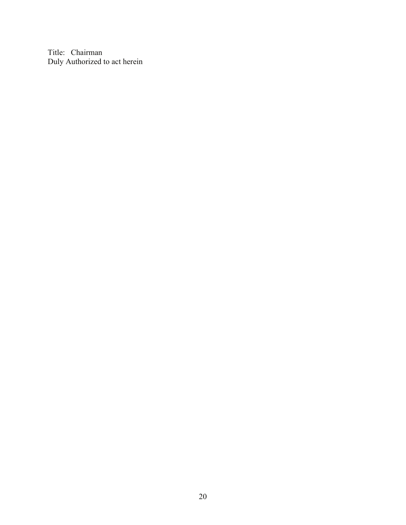Title: Chairman Duly Authorized to act herein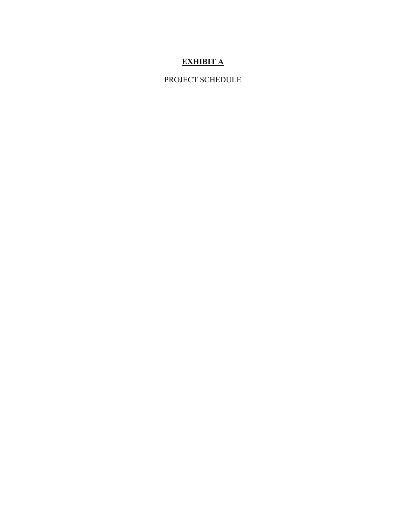# **EXHIBIT A**

PROJECT SCHEDULE